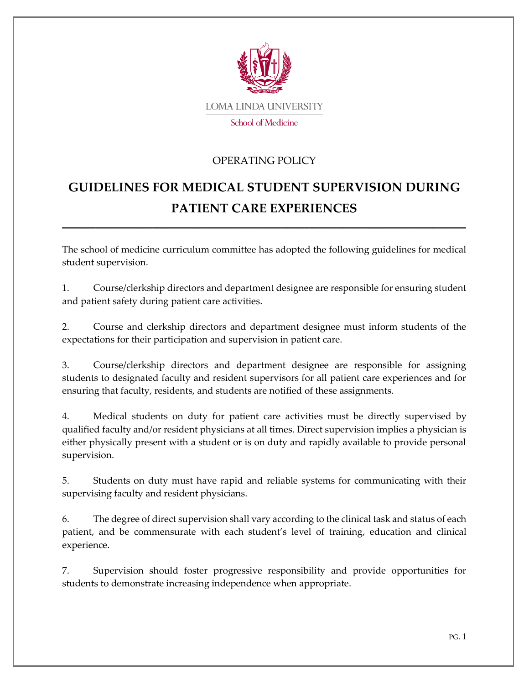

## OPERATING POLICY

## **GUIDELINES FOR MEDICAL STUDENT SUPERVISION DURING PATIENT CARE EXPERIENCES**

\_\_\_\_\_\_\_\_\_\_\_\_\_\_\_\_\_\_\_\_\_\_\_\_\_\_\_\_\_\_\_\_\_\_\_\_\_\_\_\_\_\_\_\_\_\_\_\_\_\_\_\_\_\_\_\_\_\_\_\_\_\_\_\_\_\_\_\_\_\_\_\_\_\_\_\_\_\_\_\_\_\_\_\_\_

The school of medicine curriculum committee has adopted the following guidelines for medical student supervision.

1. Course/clerkship directors and department designee are responsible for ensuring student and patient safety during patient care activities.

2. Course and clerkship directors and department designee must inform students of the expectations for their participation and supervision in patient care.

3. Course/clerkship directors and department designee are responsible for assigning students to designated faculty and resident supervisors for all patient care experiences and for ensuring that faculty, residents, and students are notified of these assignments.

4. Medical students on duty for patient care activities must be directly supervised by qualified faculty and/or resident physicians at all times. Direct supervision implies a physician is either physically present with a student or is on duty and rapidly available to provide personal supervision.

5. Students on duty must have rapid and reliable systems for communicating with their supervising faculty and resident physicians.

6. The degree of direct supervision shall vary according to the clinical task and status of each patient, and be commensurate with each student's level of training, education and clinical experience.

7. Supervision should foster progressive responsibility and provide opportunities for students to demonstrate increasing independence when appropriate.